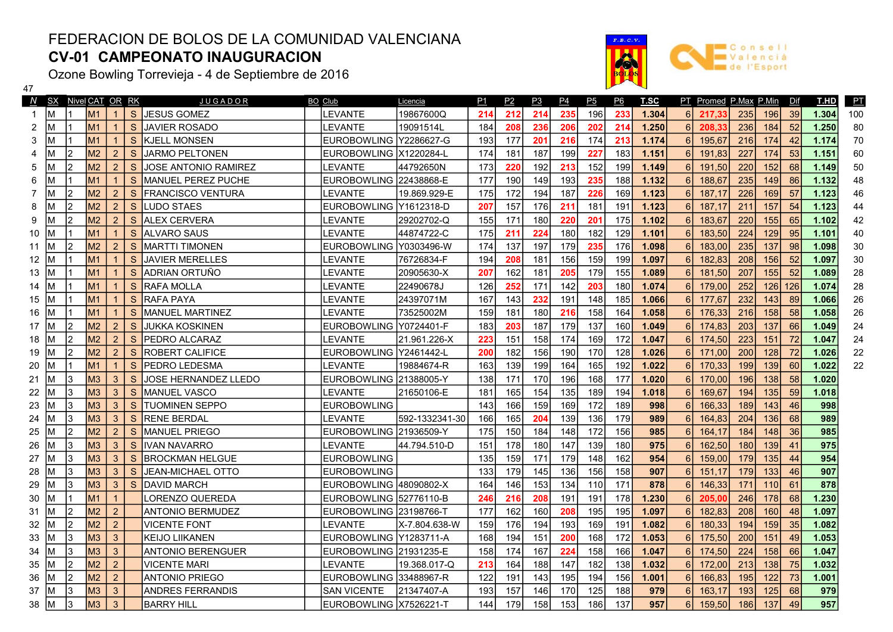## FEDERACION DE BOLOS DE LA COMUNIDAD VALENCIANA CV-01 CAMPEONATO INAUGURACION

Ozone Bowling Torrevieja - 4 de Septiembre de 2016

 $\frac{47}{2}$ 



|    | N SX Nivel CAT OR RK |    |                |                |              | <u>JUGADOR</u>              | BO Club                  | Licencia       | P1  | P2  | P <sub>3</sub> | <u>P4</u> | P <sub>5</sub> | <u>P6</u> | T.SC  |   | PT Promed P.Max P.Min |     |     | Dif | T.HD  | PT  |
|----|----------------------|----|----------------|----------------|--------------|-----------------------------|--------------------------|----------------|-----|-----|----------------|-----------|----------------|-----------|-------|---|-----------------------|-----|-----|-----|-------|-----|
|    | Iм                   |    | M <sub>1</sub> |                | <sub>S</sub> | <b>JESUS GOMEZ</b>          | LEVANTE                  | 19867600Q      | 214 | 212 | 214            | 235       | 196            | 233       | 1.304 | 6 | 217.33                | 235 | 196 | 39  | 1.304 | 100 |
| 2  | M                    |    | M1             | $\mathbf{1}$   | S            | <b>JAVIER ROSADO</b>        | LEVANTE                  | 19091514L      | 184 | 208 | 236            | 206       | 202            | 214       | 1.250 | 6 | 208,33                | 236 | 184 | 52  | 1.250 | 80  |
| 3  | IΜ                   |    | M1             | $\mathbf{1}$   | <sub>S</sub> | IKJELL MONSEN               | EUROBOWLING lY2286627-G  |                | 193 | 177 | 201            | 216       | 174            | 213       | 1.174 |   | 195,67                | 216 | 174 | 42  | 1.174 | 70  |
| 4  |                      | l2 | M <sub>2</sub> | $\overline{2}$ | S            | <b>JARMO PELTONEN</b>       | EUROBOWLING X1220284-L   |                | 174 | 181 | 187            | 199       | 227            | 183       | 1.151 |   | 191,83                | 227 | 174 | 53  | 1.151 | 60  |
| 5  | M                    | l2 | M <sub>2</sub> | 2              | <sub>S</sub> | <b>JOSE ANTONIO RAMIREZ</b> | LEVANTE                  | 44792650N      | 173 | 220 | 192            | 213       | 152            | 199       | 1.149 |   | 191.50                | 220 | 152 | 68  | 1.149 | 50  |
| 6  |                      |    | M <sub>1</sub> | $\mathbf{1}$   | S            | MANUEL PEREZ PUCHE          | EUROBOWLING 22438868-E   |                | 177 | 190 | 149            | 193       | 235            | 188       | 1.132 | 6 | 188,67                | 235 | 149 | 86  | 1.132 | 48  |
|    | M                    | l2 | M <sub>2</sub> | 2              | <sub>S</sub> | <b>FRANCISCO VENTURA</b>    | LEVANTE                  | 19.869.929-E   | 175 | 172 | 194            | 187       | 226            | 169       | 1.123 | 6 | 187,17                | 226 | 169 | 57  | 1.123 | 46  |
| 8  | M                    | 2  | M <sub>2</sub> | $\overline{2}$ | S            | <b>LUDO STAES</b>           | EUROBOWLING   Y1612318-D |                | 207 | 157 | 176            | 211       | 181            | 191       | 1.123 | 6 | 187,17                | 211 | 157 | 54  | 1.123 | 44  |
| 9  | ΙM                   | l2 | M <sub>2</sub> | $\overline{2}$ | <sub>S</sub> | <b>ALEX CERVERA</b>         | LEVANTE                  | 29202702-Q     | 155 | 171 | 180            | 220       | 201            | 175       | 1.102 | 6 | 183,67                | 220 | 155 | 65  | 1.102 | 42  |
| 10 | M                    |    | M <sub>1</sub> | $\mathbf{1}$   | <sub>S</sub> | <b>ALVARO SAUS</b>          | LEVANTE                  | 44874722-C     | 175 | 211 | 224            | 180       | 182            | 129       | 1.101 | 6 | 183,50                | 224 | 129 | 95  | 1.101 | 40  |
| 11 | ΙM                   | l2 | M <sub>2</sub> | 2              | <sub>S</sub> | <b>IMARTTI TIMONEN</b>      | <b>EUROBOWLING</b>       | Y0303496-W     | 174 | 137 | 197            | 179       | 235            | 176       | 1.098 | 6 | 183,00                | 235 | 137 | 98  | 1.098 | 30  |
| 12 |                      |    | M <sub>1</sub> | $\mathbf{1}$   | <sub>S</sub> | JAVIER MERELLES             | LEVANTE                  | 76726834-F     | 194 | 208 | 181            | 156       | 159            | 199       | 1.097 | 6 | 182,83                | 208 | 156 | 52  | 1.097 | 30  |
| 13 |                      |    | M1             | $\mathbf{1}$   | S            | IADRIAN ORTUÑO              | LEVANTE                  | 20905630-X     | 207 | 162 | 181            | 205       | 179            | 155       | 1.089 | 6 | 181.50                | 207 | 155 | 52  | 1.089 | 28  |
| 14 |                      |    | M <sub>1</sub> |                | S            | <b>RAFA MOLLA</b>           | LEVANTE                  | 22490678J      | 126 | 252 | 171            | 142       | 203            | 180       | 1.074 |   | 179,00                | 252 | 126 | 126 | 1.074 | 28  |
| 15 |                      |    | M1             | $\mathbf{1}$   | S            | <b>RAFA PAYA</b>            | LEVANTE                  | 24397071M      | 167 | 143 | 232            | 191       | 148            | 185       | 1.066 |   | 177.67                | 232 | 143 | 89  | 1.066 | 26  |
| 16 |                      |    | M <sub>1</sub> | $\mathbf{1}$   | S            | <b>MANUEL MARTINEZ</b>      | LEVANTE                  | 73525002M      | 159 | 181 | 180            | 216       | 158            | 164       | 1.058 |   | 176,33                | 216 | 158 | 58  | 1.058 | 26  |
| 17 | ΙM                   | l2 | M <sub>2</sub> | $\overline{2}$ | S            | <b>JUKKA KOSKINEN</b>       | EUROBOWLING Y0724401-F   |                | 183 | 203 | 187            | 179       | 137            | 160       | 1.049 |   | 174,83                | 203 | 137 | 66  | 1.049 | 24  |
| 18 | M                    | l2 | M <sub>2</sub> | $\overline{2}$ | S            | <b>PEDRO ALCARAZ</b>        | LEVANTE                  | 21.961.226-X   | 223 | 151 | 158            | 174       | 169            | 172       | 1.047 |   | 174,50                | 223 | 151 | 72  | 1.047 | 24  |
| 19 | M                    | l2 | M <sub>2</sub> | 2              | S            | <b>ROBERT CALIFICE</b>      | EUROBOWLING   Y2461442-L |                | 200 | 182 | 156            | 190       | 170            | 128       | 1.026 | 6 | 171.00                | 200 | 128 | 72  | 1.026 | 22  |
| 20 | M                    |    | M <sub>1</sub> | $\mathbf{1}$   | S            | <b>PEDRO LEDESMA</b>        | LEVANTE                  | 19884674-R     | 163 | 139 | 199            | 164       | 165            | 192       | 1.022 | 6 | 170,33                | 199 | 139 | 60  | 1.022 | 22  |
| 21 | ΙM                   | IЗ | M <sub>3</sub> | 3              | <sub>S</sub> | JOSE HERNANDEZ LLEDO        | EUROBOWLING 121388005-Y  |                | 138 | 171 | 170            | 196       | 168            | 177       | 1.020 | 6 | 170.00                | 196 | 138 | 58  | 1.020 |     |
| 22 | IΜ                   | IЗ | M <sub>3</sub> | 3              | S            | <b>IMANUEL VASCO</b>        | LEVANTE                  | 21650106-E     | 181 | 165 | 154            | 135       | 189            | 194       | 1.018 | 6 | 169,67                | 194 | 135 | 59  | 1.018 |     |
| 23 | ΙM                   | l3 | M3             | $\mathbf{3}$   | <sub>S</sub> | <b>TUOMINEN SEPPO</b>       | <b>EUROBOWLING</b>       |                | 143 | 166 | 159            | 169       | 172            | 189       | 998   | 6 | 166,33                | 189 | 143 | 46  | 998   |     |
| 24 | ΙM                   | 13 | M3             | $\mathbf{3}$   | S            | <b>RENE BERDAL</b>          | LEVANTE                  | 592-1332341-30 | 166 | 165 | 204            | 139       | 136            | 179       | 989   | 6 | 164,83                | 204 | 136 | 68  | 989   |     |
| 25 | M                    | l2 | M <sub>2</sub> | 2              | S            | <b>IMANUEL PRIEGO</b>       | EUROBOWLING 121936509-Y  |                | 175 | 150 | 184            | 148       | 172            | 156       | 985   | 6 | 164.17                | 184 | 148 | 36  | 985   |     |
| 26 | м                    | 13 | M3             | 3              | S            | IVAN NAVARRO                | LEVANTE                  | 44.794.510-D   | 151 | 178 | 180            | 147       | 139            | 180       | 975   | 6 | 162,50                | 180 | 139 | 41  | 975   |     |
| 27 |                      | IЗ | M3             | 3              | S            | <b>BROCKMAN HELGUE</b>      | <b>EUROBOWLING</b>       |                | 135 | 159 | 171            | 179       | 148            | 162       | 954   | 6 | 159,00                | 179 | 135 | 44  | 954   |     |
| 28 |                      | IЗ | M3             | $\mathbf{3}$   | S            | <b>JEAN-MICHAEL OTTO</b>    | <b>EUROBOWLING</b>       |                | 133 | 179 | 145            | 136       | 156            | 158       | 907   | 6 | 151,17                | 179 | 133 | 46  | 907   |     |
| 29 |                      | IЗ | M <sub>3</sub> | 3              | <sub>S</sub> | IDAVID MARCH                | EUROBOWLING I48090802-X  |                | 164 | 146 | 153            | 134       | 110            | 171       | 878   |   | 146,33                | 171 | 110 | 61  | 878   |     |
| 30 | M                    |    | M <sub>1</sub> | $\mathbf{1}$   |              | ORENZO QUEREDA              | EUROBOWLING 52776110-B   |                | 246 | 216 | 208            | 191       | 191            | 178       | 1.230 |   | 205,00                | 246 | 178 | 68  | 1.230 |     |
| 31 | ΙM                   | l2 | M <sub>2</sub> | 2              |              | <b>ANTONIO BERMUDEZ</b>     | EUROBOWLING 23198766-T   |                | 177 | 162 | 160            | 208       | 195            | 195       | 1.097 |   | 182,83                | 208 | 160 | 48  | 1.097 |     |
| 32 | M                    | l2 | M <sub>2</sub> | $\overline{2}$ |              | <b>VICENTE FONT</b>         | LEVANTE                  | X-7.804.638-W  | 159 | 176 | 194            | 193       | 169            | 191       | 1.082 |   | 180,33                | 194 | 159 | 35  | 1.082 |     |
| 33 | M                    | IЗ | M3             | 3              |              | <b>KEIJO LIIKANEN</b>       | EUROBOWLING Y1283711-A   |                | 168 | 194 | 151            | 200       | 168            | 172       | 1.053 | 6 | 175,50                | 200 | 151 | 49  | 1.053 |     |
| 34 | M                    | 3  | M3             | $\mathbf{3}$   |              | <b>ANTONIO BERENGUER</b>    | EUROBOWLING 21931235-E   |                | 158 | 174 | 167            | 224       | 158            | 166       | 1.047 | 6 | 174,50                | 224 | 158 | 66  | 1.047 |     |
| 35 | IΜ                   | l2 | M <sub>2</sub> | $\overline{2}$ |              | <b>VICENTE MARI</b>         | LEVANTE                  | 19.368.017-Q   | 213 | 164 | 188            | 147       | 182            | 138       | 1.032 | 6 | 172,00                | 213 | 138 | 75  | 1.032 |     |
| 36 | ΙM                   | l2 | M <sub>2</sub> | $\overline{2}$ |              | <b>ANTONIO PRIEGO</b>       | EUROBOWLING 33488967-R   |                | 122 | 191 | 143            | 195       | 194            | 156       | 1.001 | 6 | 166,83                | 195 | 122 | 73  | 1.001 |     |
| 37 | IМ                   | IЗ | M3             | 3              |              | <b>ANDRES FERRANDIS</b>     | <b>SAN VICENTE</b>       | 21347407-A     | 193 | 157 | 146            | 170       | 125            | 188       | 979   | 6 | 163,17                | 193 | 125 | 68  | 979   |     |
| 38 | IМ                   | 3  | M <sub>3</sub> | 3              |              | <b>BARRY HILL</b>           | EUROBOWLING IX7526221-T  |                | 144 | 179 | 158            | 153       | 186            | 137       | 957   |   | 159,50                | 186 | 137 | 49  | 957   |     |
|    |                      |    |                |                |              |                             |                          |                |     |     |                |           |                |           |       |   |                       |     |     |     |       |     |